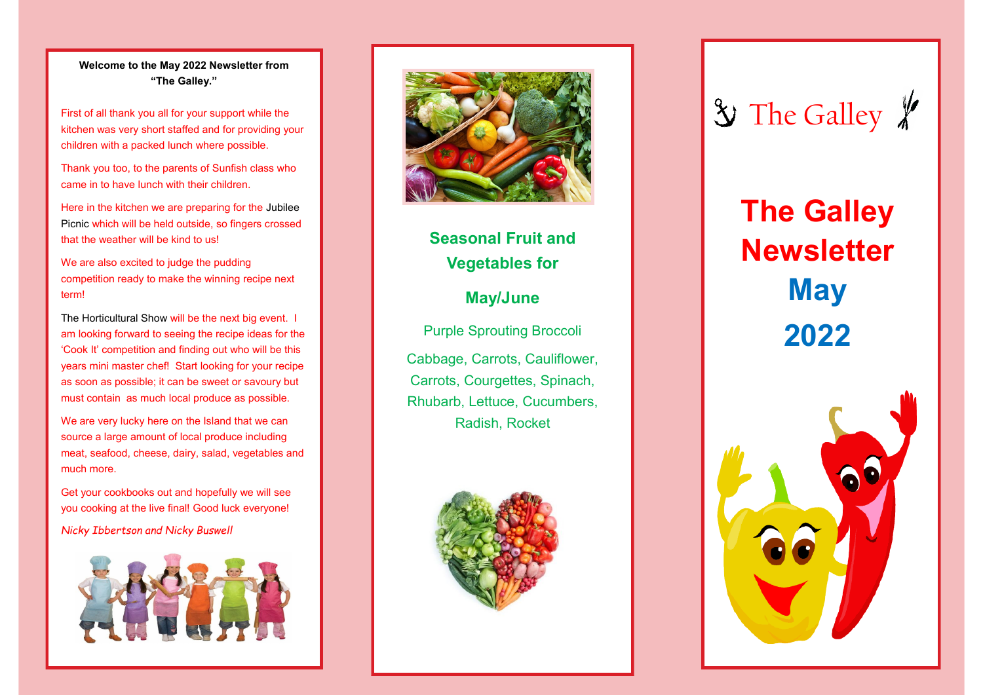#### **Welcome to the May 2022 Newsletter from "The Galley."**

.

First of all thank you all for your support while the kitchen was very short staffed and for providing your children with a packed lunch where possible.

Thank you too, to the parents of Sunfish class who came in to have lunch with their children.

Here in the kitchen we are preparing for the Jubilee Picnic which will be held outside, so fingers crossed that the weather will be kind to us!

We are also excited to judge the pudding competition ready to make the winning recipe next term!

The Horticultural Show will be the next big event. I am looking forward to seeing the recipe ideas for the 'Cook It' competition and finding out who will be this years mini master chef! Start looking for your recipe as soon as possible; it can be sweet or savoury but must contain as much local produce as possible.

We are very lucky here on the Island that we can source a large amount of local produce including meat, seafood, cheese, dairy, salad, vegetables and much more.

Get your cookbooks out and hopefully we will see you cooking at the live final! Good luck everyone!

*Nicky Ibbertson and Nicky Buswell*





# **Seasonal Fruit and Vegetables for**

### **May/June**

Purple Sprouting Broccoli Cabbage, Carrots, Cauliflower, Carrots, Courgettes, Spinach, Rhubarb, Lettuce, Cucumbers, Radish, Rocket





# **The Galley Newsletter May 2022**